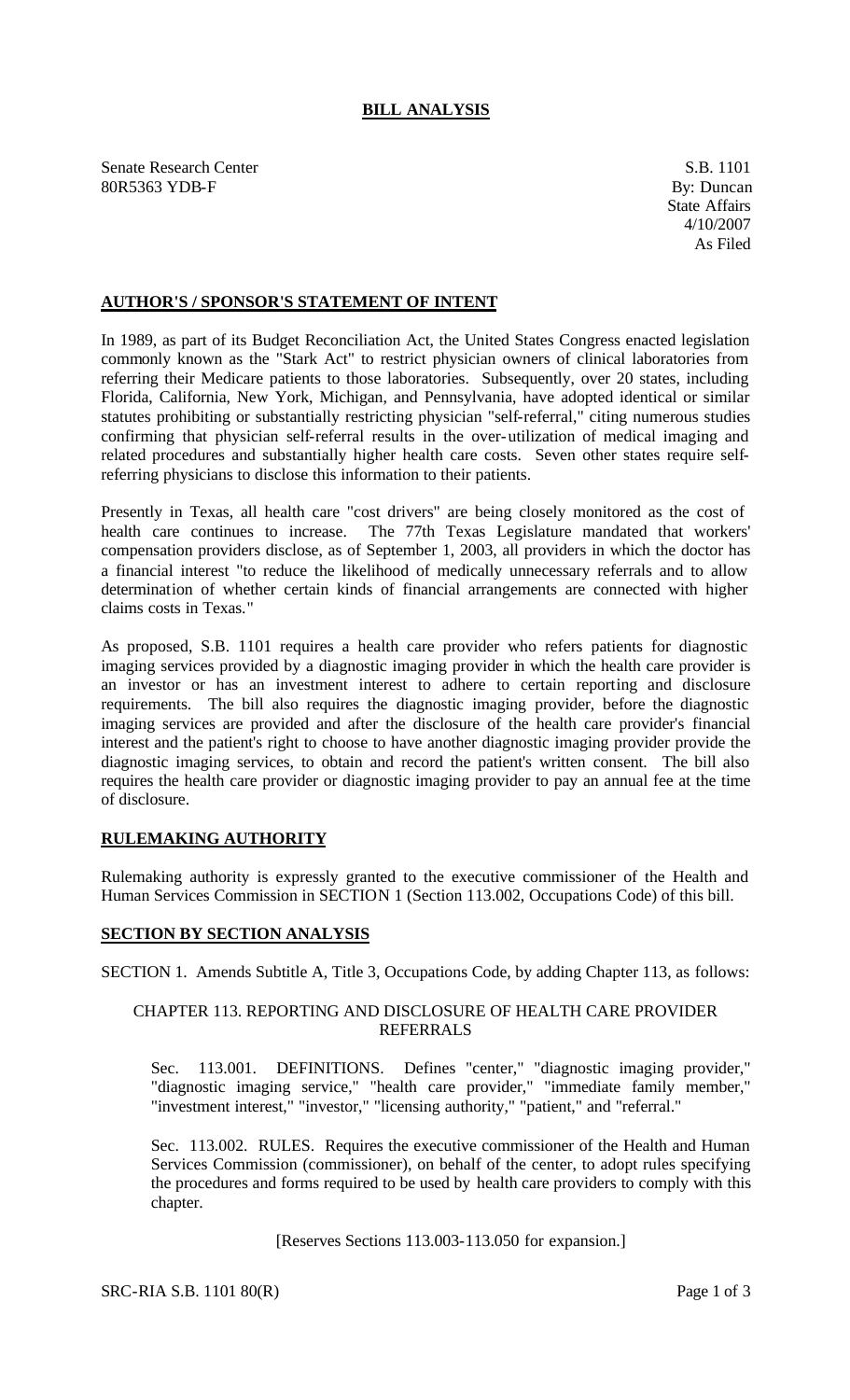# **BILL ANALYSIS**

Senate Research Center S.B. 1101 80R5363 YDB-F By: Duncan

## **AUTHOR'S / SPONSOR'S STATEMENT OF INTENT**

In 1989, as part of its Budget Reconciliation Act, the United States Congress enacted legislation commonly known as the "Stark Act" to restrict physician owners of clinical laboratories from referring their Medicare patients to those laboratories. Subsequently, over 20 states, including Florida, California, New York, Michigan, and Pennsylvania, have adopted identical or similar statutes prohibiting or substantially restricting physician "self-referral," citing numerous studies confirming that physician self-referral results in the over-utilization of medical imaging and related procedures and substantially higher health care costs. Seven other states require selfreferring physicians to disclose this information to their patients.

Presently in Texas, all health care "cost drivers" are being closely monitored as the cost of health care continues to increase. The 77th Texas Legislature mandated that workers' compensation providers disclose, as of September 1, 2003, all providers in which the doctor has a financial interest "to reduce the likelihood of medically unnecessary referrals and to allow determination of whether certain kinds of financial arrangements are connected with higher claims costs in Texas."

As proposed, S.B. 1101 requires a health care provider who refers patients for diagnostic imaging services provided by a diagnostic imaging provider in which the health care provider is an investor or has an investment interest to adhere to certain reporting and disclosure requirements. The bill also requires the diagnostic imaging provider, before the diagnostic imaging services are provided and after the disclosure of the health care provider's financial interest and the patient's right to choose to have another diagnostic imaging provider provide the diagnostic imaging services, to obtain and record the patient's written consent. The bill also requires the health care provider or diagnostic imaging provider to pay an annual fee at the time of disclosure.

### **RULEMAKING AUTHORITY**

Rulemaking authority is expressly granted to the executive commissioner of the Health and Human Services Commission in SECTION 1 (Section 113.002, Occupations Code) of this bill.

### **SECTION BY SECTION ANALYSIS**

SECTION 1. Amends Subtitle A, Title 3, Occupations Code, by adding Chapter 113, as follows:

### CHAPTER 113. REPORTING AND DISCLOSURE OF HEALTH CARE PROVIDER REFERRALS

Sec. 113.001. DEFINITIONS. Defines "center," "diagnostic imaging provider," "diagnostic imaging service," "health care provider," "immediate family member," "investment interest," "investor," "licensing authority," "patient," and "referral."

Sec. 113.002. RULES. Requires the executive commissioner of the Health and Human Services Commission (commissioner), on behalf of the center, to adopt rules specifying the procedures and forms required to be used by health care providers to comply with this chapter.

#### [Reserves Sections 113.003-113.050 for expansion.]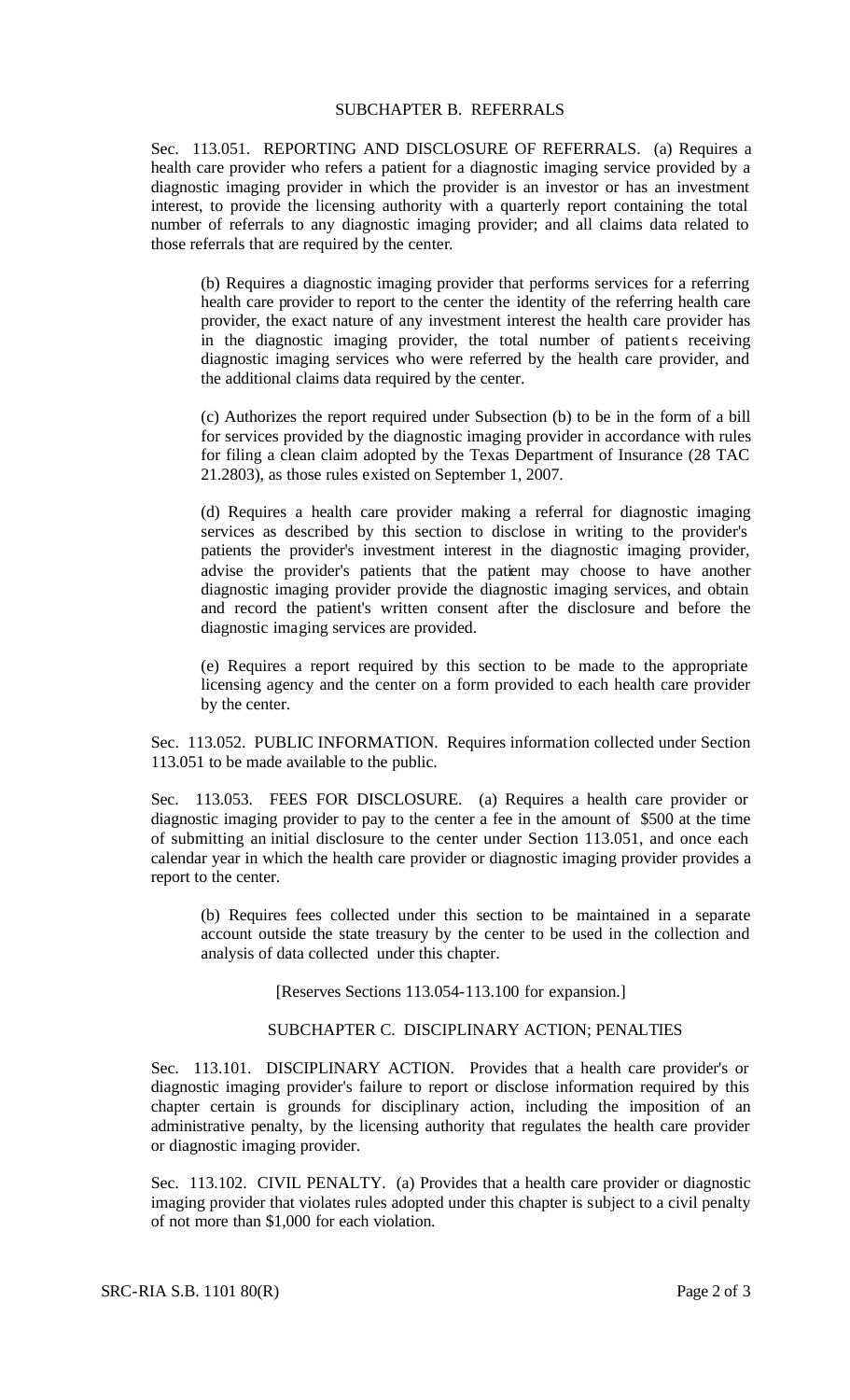### SUBCHAPTER B. REFERRALS

Sec. 113.051. REPORTING AND DISCLOSURE OF REFERRALS. (a) Requires a health care provider who refers a patient for a diagnostic imaging service provided by a diagnostic imaging provider in which the provider is an investor or has an investment interest, to provide the licensing authority with a quarterly report containing the total number of referrals to any diagnostic imaging provider; and all claims data related to those referrals that are required by the center.

(b) Requires a diagnostic imaging provider that performs services for a referring health care provider to report to the center the identity of the referring health care provider, the exact nature of any investment interest the health care provider has in the diagnostic imaging provider, the total number of patients receiving diagnostic imaging services who were referred by the health care provider, and the additional claims data required by the center.

(c) Authorizes the report required under Subsection (b) to be in the form of a bill for services provided by the diagnostic imaging provider in accordance with rules for filing a clean claim adopted by the Texas Department of Insurance (28 TAC 21.2803), as those rules existed on September 1, 2007.

(d) Requires a health care provider making a referral for diagnostic imaging services as described by this section to disclose in writing to the provider's patients the provider's investment interest in the diagnostic imaging provider, advise the provider's patients that the patient may choose to have another diagnostic imaging provider provide the diagnostic imaging services, and obtain and record the patient's written consent after the disclosure and before the diagnostic imaging services are provided.

(e) Requires a report required by this section to be made to the appropriate licensing agency and the center on a form provided to each health care provider by the center.

Sec. 113.052. PUBLIC INFORMATION. Requires information collected under Section 113.051 to be made available to the public.

Sec. 113.053. FEES FOR DISCLOSURE. (a) Requires a health care provider or diagnostic imaging provider to pay to the center a fee in the amount of \$500 at the time of submitting an initial disclosure to the center under Section 113.051, and once each calendar year in which the health care provider or diagnostic imaging provider provides a report to the center.

(b) Requires fees collected under this section to be maintained in a separate account outside the state treasury by the center to be used in the collection and analysis of data collected under this chapter.

[Reserves Sections 113.054-113.100 for expansion.]

#### SUBCHAPTER C. DISCIPLINARY ACTION; PENALTIES

Sec. 113.101. DISCIPLINARY ACTION. Provides that a health care provider's or diagnostic imaging provider's failure to report or disclose information required by this chapter certain is grounds for disciplinary action, including the imposition of an administrative penalty, by the licensing authority that regulates the health care provider or diagnostic imaging provider.

Sec. 113.102. CIVIL PENALTY. (a) Provides that a health care provider or diagnostic imaging provider that violates rules adopted under this chapter is subject to a civil penalty of not more than \$1,000 for each violation.